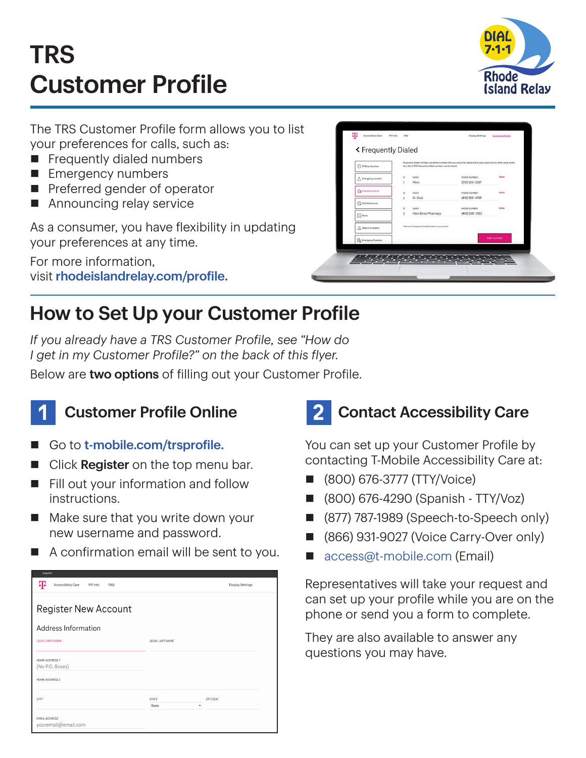# TRS Customer Profile



The TRS Customer Profile form allows you to list your preferences for calls, such as:

- $\blacksquare$  Frequently dialed numbers
- **Emergency numbers**
- $\blacksquare$  Preferred gender of operator
- $\blacksquare$  Announcing relay service

As a consumer, you have flexibility in updating your preferences at any time.

For more information, visit [rhodeislandrelay.com/profile.](http://rhodeislandrelay.com/profile)

| (1) IP Relay Numbers                    | Frequently dialed numbers are phone numbers that you would like speed dial or easy access to (i.e. mom, work, home,<br>etc.). Up to 100 frequently dialed numbers can be stored. |                                  |               |
|-----------------------------------------|----------------------------------------------------------------------------------------------------------------------------------------------------------------------------------|----------------------------------|---------------|
| Emergency Location<br>Λ                 | <b>NAME</b><br>ID.<br>Mom<br>1                                                                                                                                                   | PHONE NUMBER<br>$(312)$ 555-2587 | <b>Delate</b> |
| The Frequently Dialect                  | 10<br>NAME                                                                                                                                                                       | PHONE NUMBER                     | Delete        |
| Call Preferences                        | $\overline{2}$<br>Dr. Gold<br>10<br>NAME                                                                                                                                         | (410) 555-4789<br>PHONE NUMBER   | <b>Oelete</b> |
| $\boxed{\frac{1}{2}}$ Notes             | 3<br>Main Street Pharmacy                                                                                                                                                        | (443) 555-0120                   |               |
| Speech to Speech                        | There are 3 Frequently Dialed Numbers in your profile.                                                                                                                           |                                  |               |
| <b>D</b> <sub>O</sub> Emergency Numbers |                                                                                                                                                                                  |                                  | Add number    |

### How to Set Up your Customer Profile

*If you already have a TRS Customer Profile, see "How do I get in my Customer Profile?" on the back of this flyer.*

Below are two options of filling out your Customer Profile.



#### **Customer Profile Online**

- Go to [t-mobile.com/trsprofile.](http://t-mobile.com/trsprofile)
- Click Register on the top menu bar.
- $\blacksquare$  Fill out your information and follow instructions.
- $\blacksquare$  Make sure that you write down your new username and password.
- $\blacksquare$  A confirmation email will be sent to you.

| copairon                                          |                    |                         |  |
|---------------------------------------------------|--------------------|-------------------------|--|
| ሞ<br>Accessibility Care<br>911 Info<br><b>FAQ</b> |                    | <b>Display Settings</b> |  |
|                                                   |                    |                         |  |
| <b>Register New Account</b>                       |                    |                         |  |
| Address Information                               |                    |                         |  |
| LEGAL FIRST NAME'                                 | LEGAL LAST NAME'   |                         |  |
|                                                   |                    |                         |  |
| HOME ADDRESS 1"                                   |                    |                         |  |
| (No P.O. Boxes)                                   |                    |                         |  |
| HOME ADDRESS 2                                    |                    |                         |  |
| CITY <sup>*</sup>                                 | STATE <sup>®</sup> | ZIP CODE'               |  |
|                                                   | ٠<br>State         |                         |  |
| <b>EMAIL ADDRESS®</b><br>youremail@email.com      |                    |                         |  |

## 2 Contact Accessibility Care

You can set up your Customer Profile by contacting T-Mobile Accessibility Care at:

- n (800) 676-3777 (TTY/Voice)
- n (800) 676-4290 (Spanish TTY/Voz)
- (877) 787-1989 (Speech-to-Speech only)
- (866) 931-9027 (Voice Carry-Over only)
- [access@t-mobile.com](mailto:access%40t-mobile.com?subject=) (Email)

Representatives will take your request and can set up your profile while you are on the phone or send you a form to complete.

They are also available to answer any questions you may have.